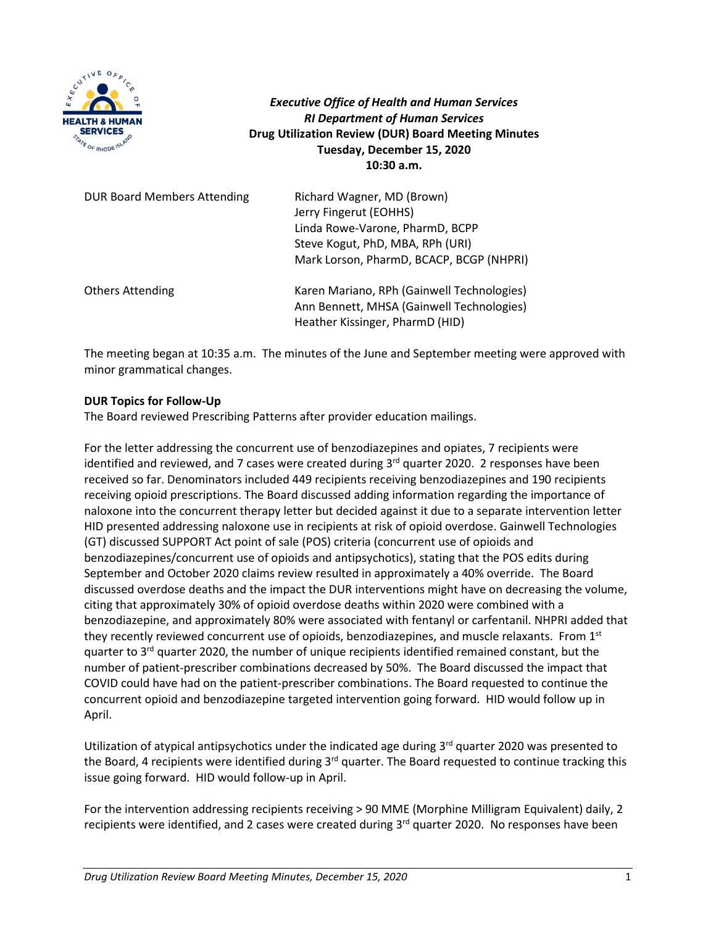

*Executive Office of Health and Human Services RI Department of Human Services* **Drug Utilization Review (DUR) Board Meeting Minutes Tuesday, December 15, 2020 10:30 a.m.**

| <b>DUR Board Members Attending</b> | Richard Wagner, MD (Brown)<br>Jerry Fingerut (EOHHS)<br>Linda Rowe-Varone, PharmD, BCPP<br>Steve Kogut, PhD, MBA, RPh (URI)<br>Mark Lorson, PharmD, BCACP, BCGP (NHPRI) |
|------------------------------------|-------------------------------------------------------------------------------------------------------------------------------------------------------------------------|
| <b>Others Attending</b>            | Karen Mariano, RPh (Gainwell Technologies)<br>Ann Bennett, MHSA (Gainwell Technologies)<br>Heather Kissinger, PharmD (HID)                                              |

The meeting began at 10:35 a.m. The minutes of the June and September meeting were approved with minor grammatical changes.

# **DUR Topics for Follow-Up**

The Board reviewed Prescribing Patterns after provider education mailings.

For the letter addressing the concurrent use of benzodiazepines and opiates, 7 recipients were identified and reviewed, and 7 cases were created during  $3<sup>rd</sup>$  quarter 2020. 2 responses have been received so far. Denominators included 449 recipients receiving benzodiazepines and 190 recipients receiving opioid prescriptions. The Board discussed adding information regarding the importance of naloxone into the concurrent therapy letter but decided against it due to a separate intervention letter HID presented addressing naloxone use in recipients at risk of opioid overdose. Gainwell Technologies (GT) discussed SUPPORT Act point of sale (POS) criteria (concurrent use of opioids and benzodiazepines/concurrent use of opioids and antipsychotics), stating that the POS edits during September and October 2020 claims review resulted in approximately a 40% override. The Board discussed overdose deaths and the impact the DUR interventions might have on decreasing the volume, citing that approximately 30% of opioid overdose deaths within 2020 were combined with a benzodiazepine, and approximately 80% were associated with fentanyl or carfentanil. NHPRI added that they recently reviewed concurrent use of opioids, benzodiazepines, and muscle relaxants. From 1<sup>st</sup> quarter to  $3<sup>rd</sup>$  quarter 2020, the number of unique recipients identified remained constant, but the number of patient-prescriber combinations decreased by 50%. The Board discussed the impact that COVID could have had on the patient-prescriber combinations. The Board requested to continue the concurrent opioid and benzodiazepine targeted intervention going forward. HID would follow up in April.

Utilization of atypical antipsychotics under the indicated age during 3<sup>rd</sup> quarter 2020 was presented to the Board, 4 recipients were identified during 3<sup>rd</sup> quarter. The Board requested to continue tracking this issue going forward. HID would follow-up in April.

For the intervention addressing recipients receiving > 90 MME (Morphine Milligram Equivalent) daily, 2 recipients were identified, and 2 cases were created during 3<sup>rd</sup> quarter 2020. No responses have been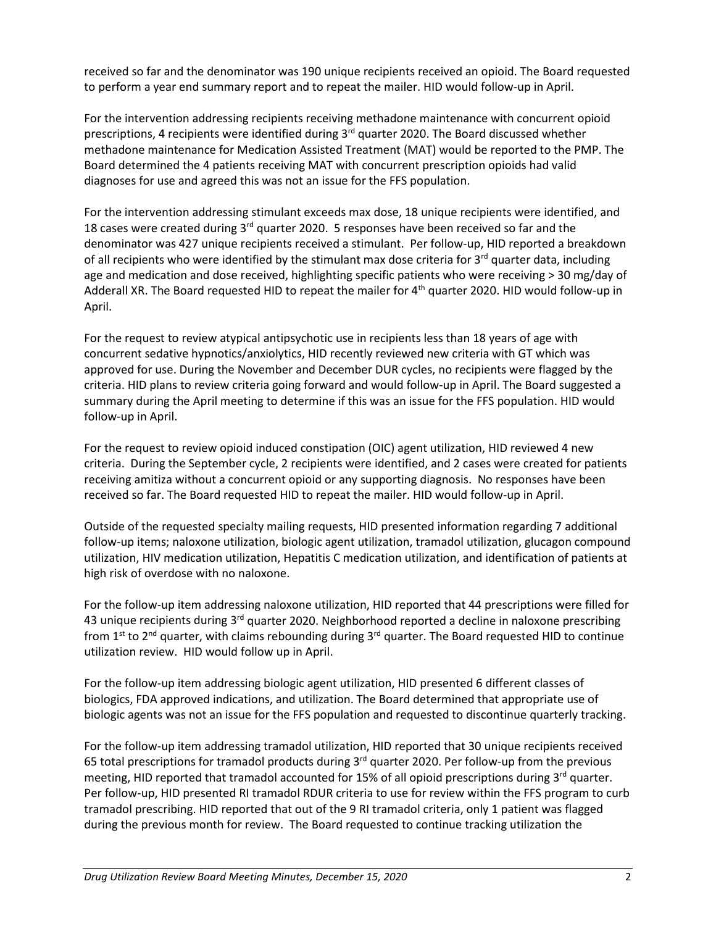received so far and the denominator was 190 unique recipients received an opioid. The Board requested to perform a year end summary report and to repeat the mailer. HID would follow-up in April.

For the intervention addressing recipients receiving methadone maintenance with concurrent opioid prescriptions, 4 recipients were identified during  $3<sup>rd</sup>$  quarter 2020. The Board discussed whether methadone maintenance for Medication Assisted Treatment (MAT) would be reported to the PMP. The Board determined the 4 patients receiving MAT with concurrent prescription opioids had valid diagnoses for use and agreed this was not an issue for the FFS population.

For the intervention addressing stimulant exceeds max dose, 18 unique recipients were identified, and 18 cases were created during  $3<sup>rd</sup>$  quarter 2020. 5 responses have been received so far and the denominator was 427 unique recipients received a stimulant. Per follow-up, HID reported a breakdown of all recipients who were identified by the stimulant max dose criteria for  $3<sup>rd</sup>$  quarter data, including age and medication and dose received, highlighting specific patients who were receiving > 30 mg/day of Adderall XR. The Board requested HID to repeat the mailer for 4<sup>th</sup> quarter 2020. HID would follow-up in April.

For the request to review atypical antipsychotic use in recipients less than 18 years of age with concurrent sedative hypnotics/anxiolytics, HID recently reviewed new criteria with GT which was approved for use. During the November and December DUR cycles, no recipients were flagged by the criteria. HID plans to review criteria going forward and would follow-up in April. The Board suggested a summary during the April meeting to determine if this was an issue for the FFS population. HID would follow-up in April.

For the request to review opioid induced constipation (OIC) agent utilization, HID reviewed 4 new criteria. During the September cycle, 2 recipients were identified, and 2 cases were created for patients receiving amitiza without a concurrent opioid or any supporting diagnosis. No responses have been received so far. The Board requested HID to repeat the mailer. HID would follow-up in April.

Outside of the requested specialty mailing requests, HID presented information regarding 7 additional follow-up items; naloxone utilization, biologic agent utilization, tramadol utilization, glucagon compound utilization, HIV medication utilization, Hepatitis C medication utilization, and identification of patients at high risk of overdose with no naloxone.

For the follow-up item addressing naloxone utilization, HID reported that 44 prescriptions were filled for 43 unique recipients during 3<sup>rd</sup> quarter 2020. Neighborhood reported a decline in naloxone prescribing from  $1^{st}$  to  $2^{nd}$  quarter, with claims rebounding during  $3^{rd}$  quarter. The Board requested HID to continue utilization review. HID would follow up in April.

For the follow-up item addressing biologic agent utilization, HID presented 6 different classes of biologics, FDA approved indications, and utilization. The Board determined that appropriate use of biologic agents was not an issue for the FFS population and requested to discontinue quarterly tracking.

For the follow-up item addressing tramadol utilization, HID reported that 30 unique recipients received 65 total prescriptions for tramadol products during 3rd quarter 2020. Per follow-up from the previous meeting, HID reported that tramadol accounted for 15% of all opioid prescriptions during  $3<sup>rd</sup>$  quarter. Per follow-up, HID presented RI tramadol RDUR criteria to use for review within the FFS program to curb tramadol prescribing. HID reported that out of the 9 RI tramadol criteria, only 1 patient was flagged during the previous month for review. The Board requested to continue tracking utilization the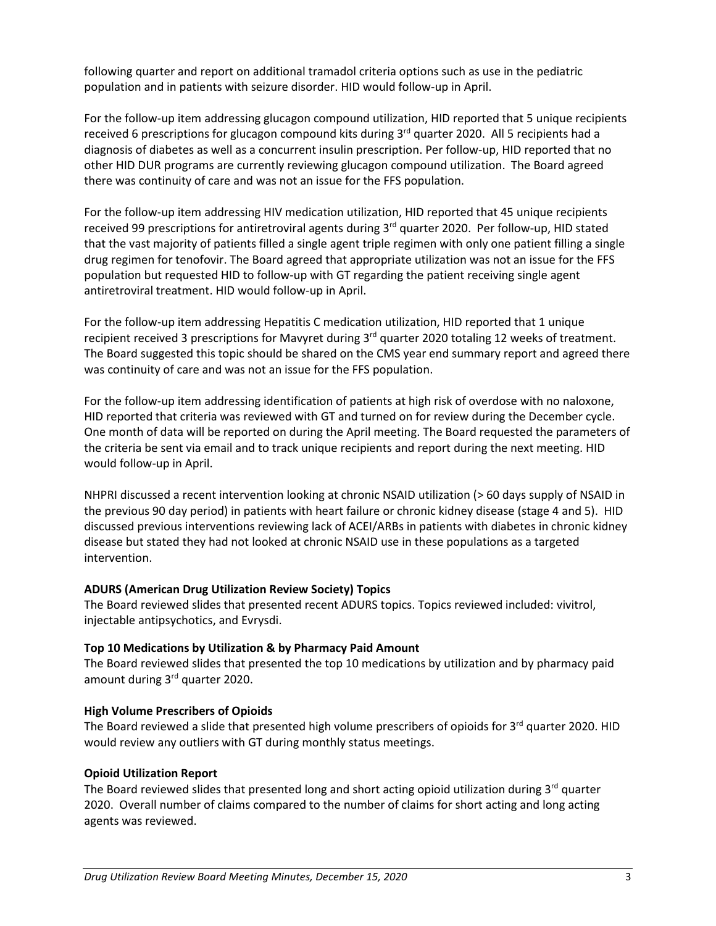following quarter and report on additional tramadol criteria options such as use in the pediatric population and in patients with seizure disorder. HID would follow-up in April.

For the follow-up item addressing glucagon compound utilization, HID reported that 5 unique recipients received 6 prescriptions for glucagon compound kits during  $3<sup>rd</sup>$  quarter 2020. All 5 recipients had a diagnosis of diabetes as well as a concurrent insulin prescription. Per follow-up, HID reported that no other HID DUR programs are currently reviewing glucagon compound utilization. The Board agreed there was continuity of care and was not an issue for the FFS population.

For the follow-up item addressing HIV medication utilization, HID reported that 45 unique recipients received 99 prescriptions for antiretroviral agents during  $3<sup>rd</sup>$  quarter 2020. Per follow-up, HID stated that the vast majority of patients filled a single agent triple regimen with only one patient filling a single drug regimen for tenofovir. The Board agreed that appropriate utilization was not an issue for the FFS population but requested HID to follow-up with GT regarding the patient receiving single agent antiretroviral treatment. HID would follow-up in April.

For the follow-up item addressing Hepatitis C medication utilization, HID reported that 1 unique recipient received 3 prescriptions for Mavyret during 3<sup>rd</sup> quarter 2020 totaling 12 weeks of treatment. The Board suggested this topic should be shared on the CMS year end summary report and agreed there was continuity of care and was not an issue for the FFS population.

For the follow-up item addressing identification of patients at high risk of overdose with no naloxone, HID reported that criteria was reviewed with GT and turned on for review during the December cycle. One month of data will be reported on during the April meeting. The Board requested the parameters of the criteria be sent via email and to track unique recipients and report during the next meeting. HID would follow-up in April.

NHPRI discussed a recent intervention looking at chronic NSAID utilization (> 60 days supply of NSAID in the previous 90 day period) in patients with heart failure or chronic kidney disease (stage 4 and 5). HID discussed previous interventions reviewing lack of ACEI/ARBs in patients with diabetes in chronic kidney disease but stated they had not looked at chronic NSAID use in these populations as a targeted intervention.

# **ADURS (American Drug Utilization Review Society) Topics**

The Board reviewed slides that presented recent ADURS topics. Topics reviewed included: vivitrol, injectable antipsychotics, and Evrysdi.

# **Top 10 Medications by Utilization & by Pharmacy Paid Amount**

The Board reviewed slides that presented the top 10 medications by utilization and by pharmacy paid amount during 3<sup>rd</sup> quarter 2020.

# **High Volume Prescribers of Opioids**

The Board reviewed a slide that presented high volume prescribers of opioids for 3<sup>rd</sup> quarter 2020. HID would review any outliers with GT during monthly status meetings.

# **Opioid Utilization Report**

The Board reviewed slides that presented long and short acting opioid utilization during  $3<sup>rd</sup>$  quarter 2020. Overall number of claims compared to the number of claims for short acting and long acting agents was reviewed.